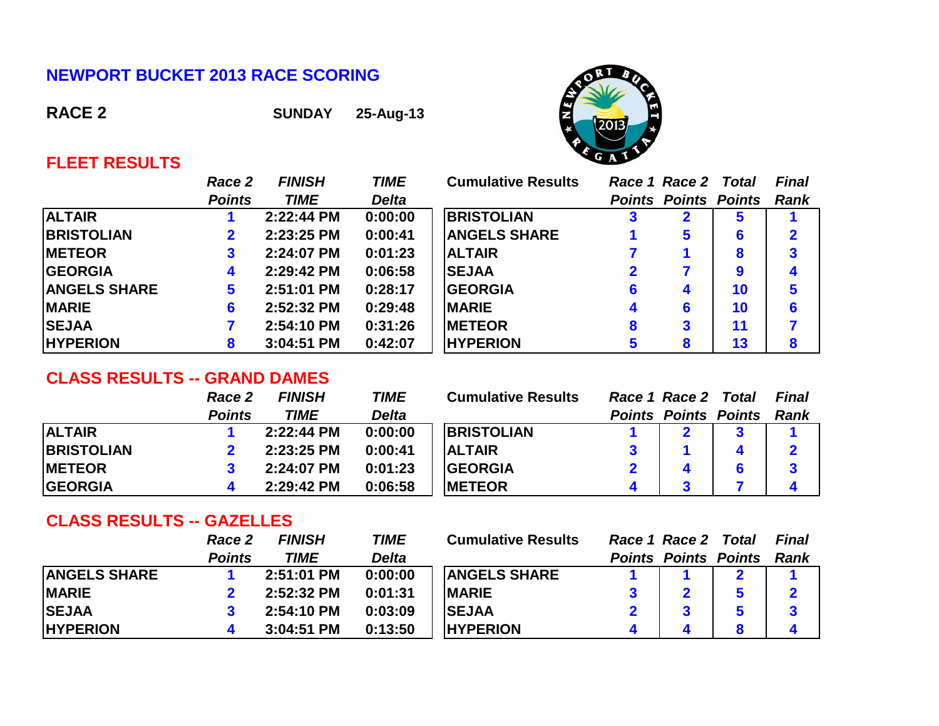## **NEWPORT BUCKET 2013 RACE SCORING**

**RACE 2 SUNDAY 25-Aug-13**



# **FLEET RESULTS**

|                     | Race 2        | <b>FINISH</b> | <b>TIME</b>  | <b>Cumulative Results</b> |   | Race 1 Race 2 Total         |    | <b>Final</b> |
|---------------------|---------------|---------------|--------------|---------------------------|---|-----------------------------|----|--------------|
|                     | <b>Points</b> | <b>TIME</b>   | <b>Delta</b> |                           |   | <b>Points Points Points</b> |    | <b>Rank</b>  |
| <b>ALTAIR</b>       |               | 2:22:44 PM    | 0:00:00      | <b>BRISTOLIAN</b>         |   |                             | ь  |              |
| <b>BRISTOLIAN</b>   | $\mathbf{2}$  | 2:23:25 PM    | 0:00:41      | <b>ANGELS SHARE</b>       |   | 5                           | 6  | 2            |
| <b>METEOR</b>       | $\mathbf{3}$  | 2:24:07 PM    | 0:01:23      | <b>ALTAIR</b>             |   |                             | 8  | 3            |
| <b>GEORGIA</b>      | 4             | 2:29:42 PM    | 0:06:58      | <b>SEJAA</b>              |   |                             | 9  |              |
| <b>ANGELS SHARE</b> | 5             | $2:51:01$ PM  | 0:28:17      | <b>IGEORGIA</b>           | 6 | 4                           | 10 | 5            |
| <b>MARIE</b>        | 6             | 2:52:32 PM    | 0:29:48      | <b>IMARIE</b>             |   | 6                           | 10 | 6            |
| <b>SEJAA</b>        |               | 2:54:10 PM    | 0:31:26      | <b>IMETEOR</b>            | 8 | 3                           | 11 |              |
| <b>HYPERION</b>     | 8             | 3:04:51 PM    | 0:42:07      | <b>HYPERION</b>           | 5 | 8                           | 13 | 8            |

# **CLASS RESULTS -- GRAND DAMES**

|                   | Race 2        | <b>FINISH</b> | TIME         | <b>Cumulative Results</b> | Race 1 Race 2 Total |                             | Final |
|-------------------|---------------|---------------|--------------|---------------------------|---------------------|-----------------------------|-------|
|                   | <b>Points</b> | <b>TIME</b>   | <b>Delta</b> |                           |                     | <b>Points Points Points</b> | Rank  |
| <b>ALTAIR</b>     |               | 2:22:44 PM    | 0:00:00      | <b>BRISTOLIAN</b>         |                     |                             |       |
| <b>BRISTOLIAN</b> |               | 2:23:25 PM    | 0:00:41      | <b>ALTAIR</b>             |                     |                             |       |
| <b>IMETEOR</b>    |               | 2:24:07 PM    | 0:01:23      | <b>IGEORGIA</b>           |                     |                             | 3     |
| <b>GEORGIA</b>    |               | 2:29:42 PM    | 0:06:58      | <b>IMETEOR</b>            |                     |                             |       |

### **CLASS RESULTS -- GAZELLES**

|                     | Race 2        | <b>FINISH</b> | TIME         | <b>Cumulative Results</b> | Race 1 Race 2 Total         | Final |
|---------------------|---------------|---------------|--------------|---------------------------|-----------------------------|-------|
|                     | <b>Points</b> | TIME          | <b>Delta</b> |                           | <b>Points Points Points</b> | Rank  |
| <b>ANGELS SHARE</b> |               | 2:51:01 PM    | 0:00:00      | <b>ANGELS SHARE</b>       |                             |       |
| <b>MARIE</b>        |               | 2:52:32 PM    | 0:01:31      | <b>IMARIE</b>             |                             |       |
| <b>SEJAA</b>        |               | 2:54:10 PM    | 0:03:09      | <b>SEJAA</b>              |                             |       |
| <b>HYPERION</b>     |               | 3:04:51 PM    | 0:13:50      | <b>HYPERION</b>           |                             |       |